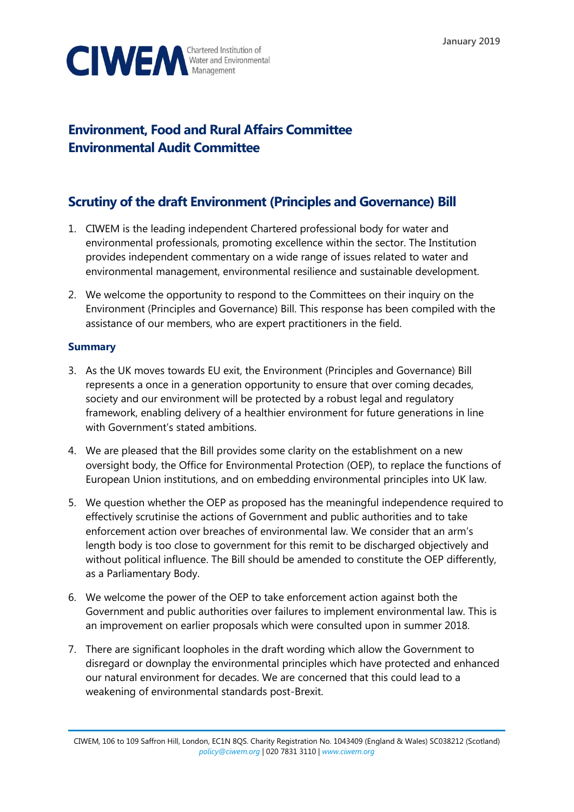

# **Environment, Food and Rural Affairs Committee Environmental Audit Committee**

# **Scrutiny of the draft Environment (Principles and Governance) Bill**

- 1. CIWEM is the leading independent Chartered professional body for water and environmental professionals, promoting excellence within the sector. The Institution provides independent commentary on a wide range of issues related to water and environmental management, environmental resilience and sustainable development.
- 2. We welcome the opportunity to respond to the Committees on their inquiry on the Environment (Principles and Governance) Bill. This response has been compiled with the assistance of our members, who are expert practitioners in the field.

# **Summary**

- 3. As the UK moves towards EU exit, the Environment (Principles and Governance) Bill represents a once in a generation opportunity to ensure that over coming decades, society and our environment will be protected by a robust legal and regulatory framework, enabling delivery of a healthier environment for future generations in line with Government's stated ambitions.
- 4. We are pleased that the Bill provides some clarity on the establishment on a new oversight body, the Office for Environmental Protection (OEP), to replace the functions of European Union institutions, and on embedding environmental principles into UK law.
- 5. We question whether the OEP as proposed has the meaningful independence required to effectively scrutinise the actions of Government and public authorities and to take enforcement action over breaches of environmental law. We consider that an arm's length body is too close to government for this remit to be discharged objectively and without political influence. The Bill should be amended to constitute the OEP differently, as a Parliamentary Body.
- 6. We welcome the power of the OEP to take enforcement action against both the Government and public authorities over failures to implement environmental law. This is an improvement on earlier proposals which were consulted upon in summer 2018.
- 7. There are significant loopholes in the draft wording which allow the Government to disregard or downplay the environmental principles which have protected and enhanced our natural environment for decades. We are concerned that this could lead to a weakening of environmental standards post-Brexit.

CIWEM, 106 to 109 Saffron Hill, London, EC1N 8QS. Charity Registration No. 1043409 (England & Wales) SC038212 (Scotland) *[policy@ciwem.org](mailto:policy@ciwem.org)* | 020 7831 3110 | *[www.ciwem.org](http://www.ciwem.org/)*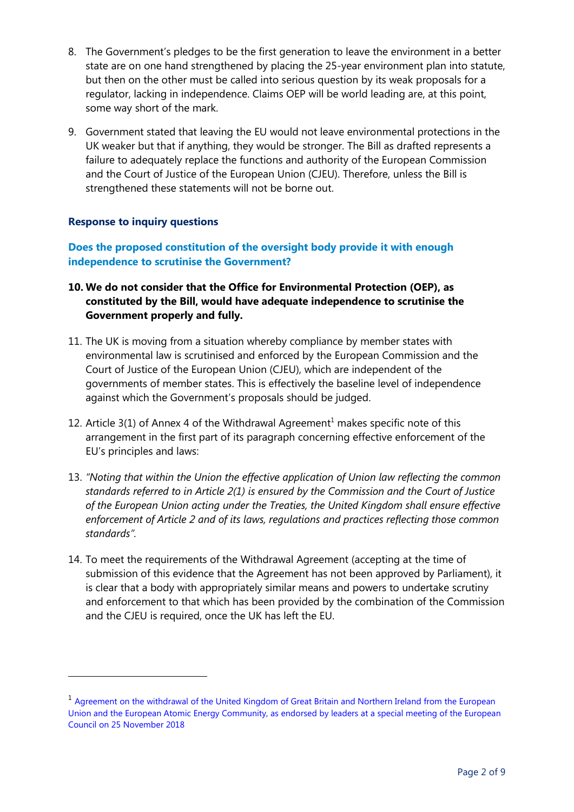- 8. The Government's pledges to be the first generation to leave the environment in a better state are on one hand strengthened by placing the 25-year environment plan into statute, but then on the other must be called into serious question by its weak proposals for a regulator, lacking in independence. Claims OEP will be world leading are, at this point, some way short of the mark.
- 9. Government stated that leaving the EU would not leave environmental protections in the UK weaker but that if anything, they would be stronger. The Bill as drafted represents a failure to adequately replace the functions and authority of the European Commission and the Court of Justice of the European Union (CJEU). Therefore, unless the Bill is strengthened these statements will not be borne out.

### **Response to inquiry questions**

 $\overline{a}$ 

**Does the proposed constitution of the oversight body provide it with enough independence to scrutinise the Government?**

- **10. We do not consider that the Office for Environmental Protection (OEP), as constituted by the Bill, would have adequate independence to scrutinise the Government properly and fully.**
- 11. The UK is moving from a situation whereby compliance by member states with environmental law is scrutinised and enforced by the European Commission and the Court of Justice of the European Union (CJEU), which are independent of the governments of member states. This is effectively the baseline level of independence against which the Government's proposals should be judged.
- 12. Article  $3(1)$  of Annex 4 of the Withdrawal Agreement<sup>1</sup> makes specific note of this arrangement in the first part of its paragraph concerning effective enforcement of the EU's principles and laws:
- 13. *"Noting that within the Union the effective application of Union law reflecting the common standards referred to in Article 2(1) is ensured by the Commission and the Court of Justice of the European Union acting under the Treaties, the United Kingdom shall ensure effective enforcement of Article 2 and of its laws, regulations and practices reflecting those common standards".*
- 14. To meet the requirements of the Withdrawal Agreement (accepting at the time of submission of this evidence that the Agreement has not been approved by Parliament), it is clear that a body with appropriately similar means and powers to undertake scrutiny and enforcement to that which has been provided by the combination of the Commission and the CJEU is required, once the UK has left the EU.

<sup>&</sup>lt;sup>1</sup> Agreement on the withdrawal of the United Kingdom of Great Britain and Northern Ireland from the European [Union and the European Atomic Energy Community, as endorsed by leaders at a special meeting of the European](https://assets.publishing.service.gov.uk/government/uploads/system/uploads/attachment_data/file/759019/25_November_Agreement_on_the_withdrawal_of_the_United_Kingdom_of_Great_Britain_and_Northern_Ireland_from_the_European_Union_and_the_European_Atomic_Energy_Community.pdf)  [Council on 25 November 2018](https://assets.publishing.service.gov.uk/government/uploads/system/uploads/attachment_data/file/759019/25_November_Agreement_on_the_withdrawal_of_the_United_Kingdom_of_Great_Britain_and_Northern_Ireland_from_the_European_Union_and_the_European_Atomic_Energy_Community.pdf)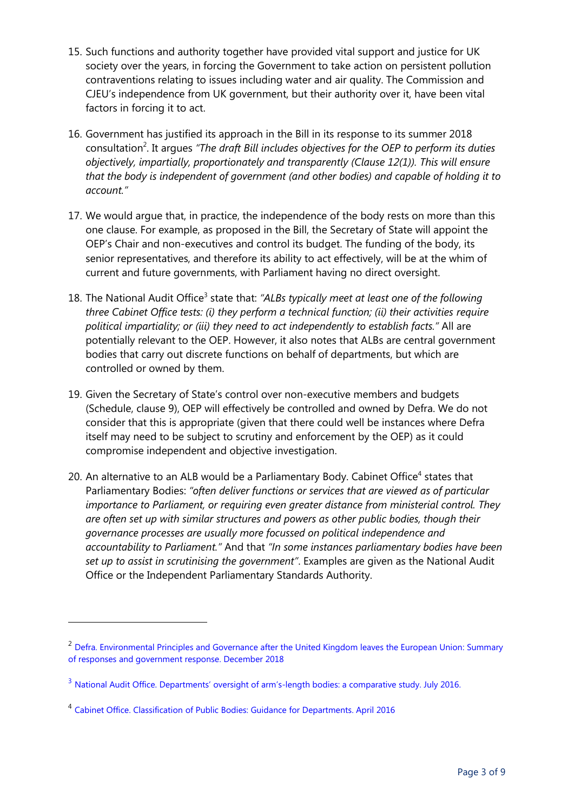- 15. Such functions and authority together have provided vital support and justice for UK society over the years, in forcing the Government to take action on persistent pollution contraventions relating to issues including water and air quality. The Commission and CJEU's independence from UK government, but their authority over it, have been vital factors in forcing it to act.
- 16. Government has justified its approach in the Bill in its response to its summer 2018 consultation<sup>2</sup>. It argues "The draft Bill includes objectives for the OEP to perform its duties *objectively, impartially, proportionately and transparently (Clause 12(1)). This will ensure that the body is independent of government (and other bodies) and capable of holding it to account."*
- 17. We would argue that, in practice, the independence of the body rests on more than this one clause. For example, as proposed in the Bill, the Secretary of State will appoint the OEP's Chair and non-executives and control its budget. The funding of the body, its senior representatives, and therefore its ability to act effectively, will be at the whim of current and future governments, with Parliament having no direct oversight.
- 18. The National Audit Office<sup>3</sup> state that: "ALBs typically meet at least one of the following *three Cabinet Office tests: (i) they perform a technical function; (ii) their activities require political impartiality; or (iii) they need to act independently to establish facts."* All are potentially relevant to the OEP. However, it also notes that ALBs are central government bodies that carry out discrete functions on behalf of departments, but which are controlled or owned by them.
- 19. Given the Secretary of State's control over non-executive members and budgets (Schedule, clause 9), OEP will effectively be controlled and owned by Defra. We do not consider that this is appropriate (given that there could well be instances where Defra itself may need to be subject to scrutiny and enforcement by the OEP) as it could compromise independent and objective investigation.
- 20. An alternative to an ALB would be a Parliamentary Body. Cabinet Office<sup>4</sup> states that Parliamentary Bodies: *"often deliver functions or services that are viewed as of particular importance to Parliament, or requiring even greater distance from ministerial control. They are often set up with similar structures and powers as other public bodies, though their governance processes are usually more focussed on political independence and accountability to Parliament."* And that *"In some instances parliamentary bodies have been set up to assist in scrutinising the government"*. Examples are given as the National Audit Office or the Independent Parliamentary Standards Authority.

<sup>&</sup>lt;sup>2</sup> [Defra. Environmental Principles and Governance after the United Kingdom leaves the European Union:](https://assets.publishing.service.gov.uk/government/uploads/system/uploads/attachment_data/file/767284/env-principles-consult-sum-resp.pdf) Summary [of responses and government response.](https://assets.publishing.service.gov.uk/government/uploads/system/uploads/attachment_data/file/767284/env-principles-consult-sum-resp.pdf) December 2018

<sup>&</sup>lt;sup>3</sup> [National Audit Office. Departments' oversight of arm's](https://www.nao.org.uk/wp-content/uploads/2016/05/Departments-oversight-of-arms-length-bodies-a-comparative-study.pdf)-length bodies: a comparative study. July 2016.

<sup>&</sup>lt;sup>4</sup> [Cabinet Office. Classification of Public Bodies: Guidance for Departments. April 2016](file:///C:/Users/heatherj/AppData/Local/Microsoft/Windows/Temporary%20Internet%20Files/Content.Outlook/9WU42BMF/Classification%20Of%20Public%20Bodies:)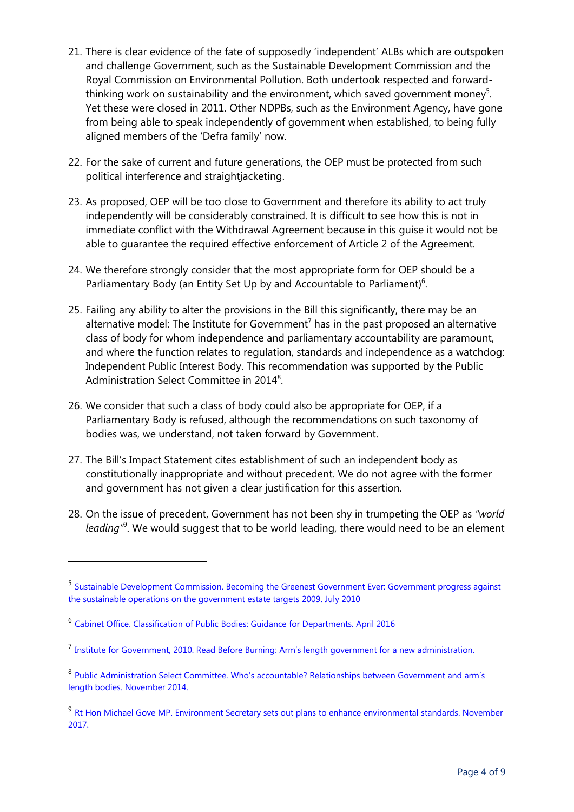- 21. There is clear evidence of the fate of supposedly 'independent' ALBs which are outspoken and challenge Government, such as the Sustainable Development Commission and the Royal Commission on Environmental Pollution. Both undertook respected and forwardthinking work on sustainability and the environment, which saved government money<sup>5</sup>. Yet these were closed in 2011. Other NDPBs, such as the Environment Agency, have gone from being able to speak independently of government when established, to being fully aligned members of the 'Defra family' now.
- 22. For the sake of current and future generations, the OEP must be protected from such political interference and straightjacketing.
- 23. As proposed, OEP will be too close to Government and therefore its ability to act truly independently will be considerably constrained. It is difficult to see how this is not in immediate conflict with the Withdrawal Agreement because in this guise it would not be able to guarantee the required effective enforcement of Article 2 of the Agreement.
- 24. We therefore strongly consider that the most appropriate form for OEP should be a Parliamentary Body (an Entity Set Up by and Accountable to Parliament)<sup>6</sup>.
- 25. Failing any ability to alter the provisions in the Bill this significantly, there may be an alternative model: The Institute for Government<sup>7</sup> has in the past proposed an alternative class of body for whom independence and parliamentary accountability are paramount, and where the function relates to regulation, standards and independence as a watchdog: Independent Public Interest Body. This recommendation was supported by the Public Administration Select Committee in 2014<sup>8</sup>.
- 26. We consider that such a class of body could also be appropriate for OEP, if a Parliamentary Body is refused, although the recommendations on such taxonomy of bodies was, we understand, not taken forward by Government.
- 27. The Bill's Impact Statement cites establishment of such an independent body as constitutionally inappropriate and without precedent. We do not agree with the former and government has not given a clear justification for this assertion.
- 28. On the issue of precedent, Government has not been shy in trumpeting the OEP as *"world*  leading<sup>, 8</sup>. We would suggest that to be world leading, there would need to be an element

<sup>5</sup> [Sustainable Development Commission. Becoming the Greenest Government Ever: Government progress against](http://www.sd-commission.org.uk/publications.php@id=1097.html)  [the sustainable operations on the government estate targets 2009. July 2010](http://www.sd-commission.org.uk/publications.php@id=1097.html)

<sup>&</sup>lt;sup>6</sup> [Cabinet Office. Classification of Public Bodies: Guidance for Departments. April 2016](https://ciwem-my.sharepoint.com/personal/alastair_ciwem_org_uk/Documents/Policy%20&%20Technical/Consultations/EAC%20Environment%20Bill%20(Principles%20and%20Governance)/Classification%20Of%20Public%20Bodies:)

<sup>&</sup>lt;sup>7</sup> [Institute for Government, 2010. Read Before Burning:](https://www.instituteforgovernment.org.uk/sites/default/files/publications/Read%20before%20burning.pdf) Arm's length government for a new administration.

<sup>&</sup>lt;sup>8</sup> Public Administration Select Committee. Who's accountable? Relationships between Government and arm's [length bodies. November 2014.](https://publications.parliament.uk/pa/cm201415/cmselect/cmpubadm/110/110.pdf)

<sup>&</sup>lt;sup>9</sup> [Rt Hon Michael Gove MP. Environment Secretary sets out plans](https://www.gov.uk/government/speeches/environment-secretary-sets-out-plans-to-enhance-environmental-standards) to enhance environmental standards. November [2017.](https://www.gov.uk/government/speeches/environment-secretary-sets-out-plans-to-enhance-environmental-standards)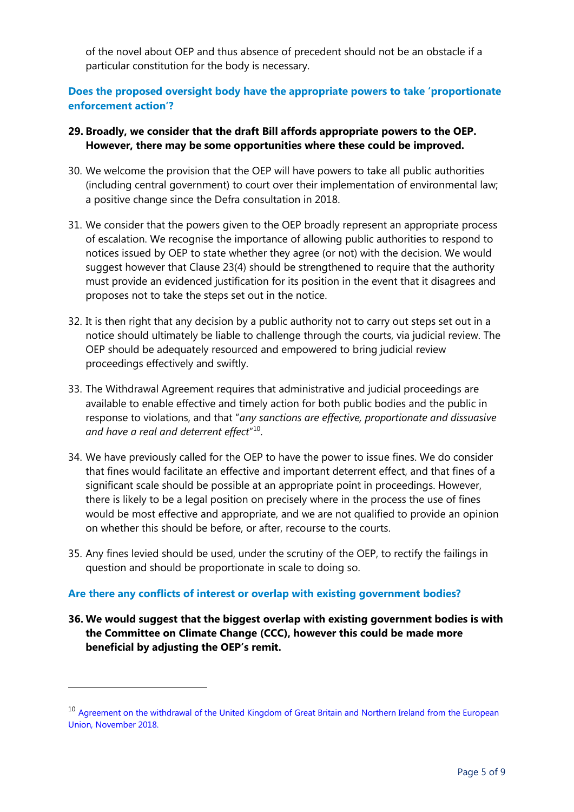of the novel about OEP and thus absence of precedent should not be an obstacle if a particular constitution for the body is necessary.

## **Does the proposed oversight body have the appropriate powers to take 'proportionate enforcement action'?**

### **29. Broadly, we consider that the draft Bill affords appropriate powers to the OEP. However, there may be some opportunities where these could be improved.**

- 30. We welcome the provision that the OEP will have powers to take all public authorities (including central government) to court over their implementation of environmental law; a positive change since the Defra consultation in 2018.
- 31. We consider that the powers given to the OEP broadly represent an appropriate process of escalation. We recognise the importance of allowing public authorities to respond to notices issued by OEP to state whether they agree (or not) with the decision. We would suggest however that Clause 23(4) should be strengthened to require that the authority must provide an evidenced justification for its position in the event that it disagrees and proposes not to take the steps set out in the notice.
- 32. It is then right that any decision by a public authority not to carry out steps set out in a notice should ultimately be liable to challenge through the courts, via judicial review. The OEP should be adequately resourced and empowered to bring judicial review proceedings effectively and swiftly.
- 33. The Withdrawal Agreement requires that administrative and judicial proceedings are available to enable effective and timely action for both public bodies and the public in response to violations, and that "*any sanctions are effective, proportionate and dissuasive and have a real and deterrent effect*" 10 .
- 34. We have previously called for the OEP to have the power to issue fines. We do consider that fines would facilitate an effective and important deterrent effect, and that fines of a significant scale should be possible at an appropriate point in proceedings. However, there is likely to be a legal position on precisely where in the process the use of fines would be most effective and appropriate, and we are not qualified to provide an opinion on whether this should be before, or after, recourse to the courts.
- 35. Any fines levied should be used, under the scrutiny of the OEP, to rectify the failings in question and should be proportionate in scale to doing so.

#### **Are there any conflicts of interest or overlap with existing government bodies?**

 $\overline{a}$ 

**36. We would suggest that the biggest overlap with existing government bodies is with the Committee on Climate Change (CCC), however this could be made more beneficial by adjusting the OEP's remit.**

<sup>&</sup>lt;sup>10</sup> Agreement on the withdrawal of the United Kingdom of Great Britain and Northern Ireland from the European [Union, November 2018.](https://assets.publishing.service.gov.uk/government/uploads/system/uploads/attachment_data/file/759019/25_November_Agreement_on_the_withdrawal_of_the_United_Kingdom_of_Great_Britain_and_Northern_Ireland_from_the_European_Union_and_the_European_Atomic_Energy_Community.pdf)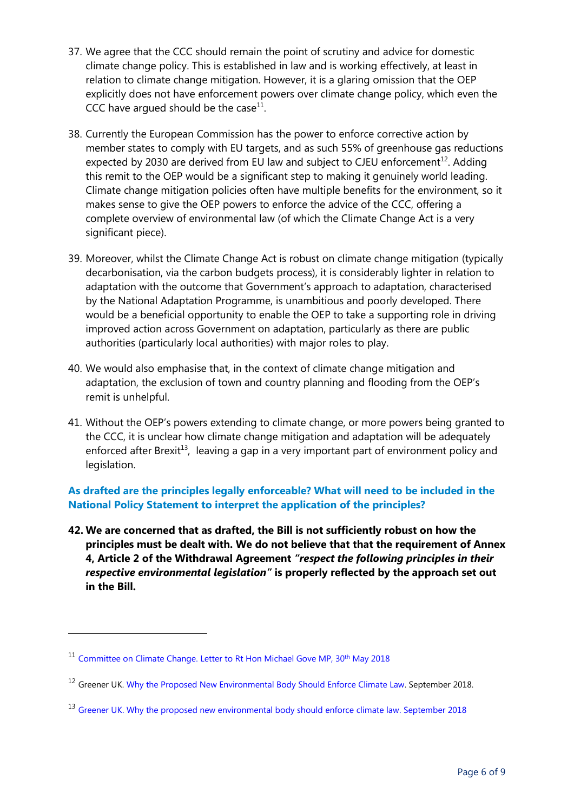- 37. We agree that the CCC should remain the point of scrutiny and advice for domestic climate change policy. This is established in law and is working effectively, at least in relation to climate change mitigation. However, it is a glaring omission that the OEP explicitly does not have enforcement powers over climate change policy, which even the CCC have argued should be the case $^{11}$ .
- 38. Currently the European Commission has the power to enforce corrective action by member states to comply with EU targets, and as such 55% of greenhouse gas reductions expected by 2030 are derived from EU law and subject to CJEU enforcement<sup>12</sup>. Adding this remit to the OEP would be a significant step to making it genuinely world leading. Climate change mitigation policies often have multiple benefits for the environment, so it makes sense to give the OEP powers to enforce the advice of the CCC, offering a complete overview of environmental law (of which the Climate Change Act is a very significant piece).
- 39. Moreover, whilst the Climate Change Act is robust on climate change mitigation (typically decarbonisation, via the carbon budgets process), it is considerably lighter in relation to adaptation with the outcome that Government's approach to adaptation, characterised by the National Adaptation Programme, is unambitious and poorly developed. There would be a beneficial opportunity to enable the OEP to take a supporting role in driving improved action across Government on adaptation, particularly as there are public authorities (particularly local authorities) with major roles to play.
- 40. We would also emphasise that, in the context of climate change mitigation and adaptation, the exclusion of town and country planning and flooding from the OEP's remit is unhelpful.
- 41. Without the OEP's powers extending to climate change, or more powers being granted to the CCC, it is unclear how climate change mitigation and adaptation will be adequately enforced after Brexit<sup>13</sup>, leaving a gap in a very important part of environment policy and legislation.

# **As drafted are the principles legally enforceable? What will need to be included in the National Policy Statement to interpret the application of the principles?**

**42. We are concerned that as drafted, the Bill is not sufficiently robust on how the principles must be dealt with. We do not believe that that the requirement of Annex 4, Article 2 of the Withdrawal Agreement** *"respect the following principles in their respective environmental legislation"* **is properly reflected by the approach set out in the Bill.** 

<sup>&</sup>lt;sup>11</sup> [Committee on Climate Change. Letter to Rt Hon Michael Gove](file:///C:/Users/heatherj/AppData/Local/Microsoft/Windows/Temporary%20Internet%20Files/Content.Outlook/9WU42BMF/The%20new%20watchdog%20has%20the%20important%20power%20to%20be%20able%20to%20take%20public%20authorities%20to%20court,%20as%20CIWEM%20called%20for,%20but%20it%20does%20not%20have%20the%20power%20to%20issue%20fines,%20which%20leaves%20us%20to%20wonder%20what%20the%20deterrent%20is%20to%20comply%20with%20environmental%20law.) MP, 30<sup>th</sup> May 2018

<sup>&</sup>lt;sup>12</sup> Greener UK. [Why the Proposed New Environmental Body Should Enforce Climate Law.](https://greeneruk.org/sites/default/files/download/2018-10/Why_the_proposed_new%20environmental_body_should_enforce_climate_law_1.pdf) September 2018.

<sup>&</sup>lt;sup>13</sup> Greener UK. [Why the proposed new environmental body should enforce climate law. September 2018](https://greeneruk.org/sites/default/files/download/2018-10/Why_the_proposed_new%20environmental_body_should_enforce_climate_law_1.pdf)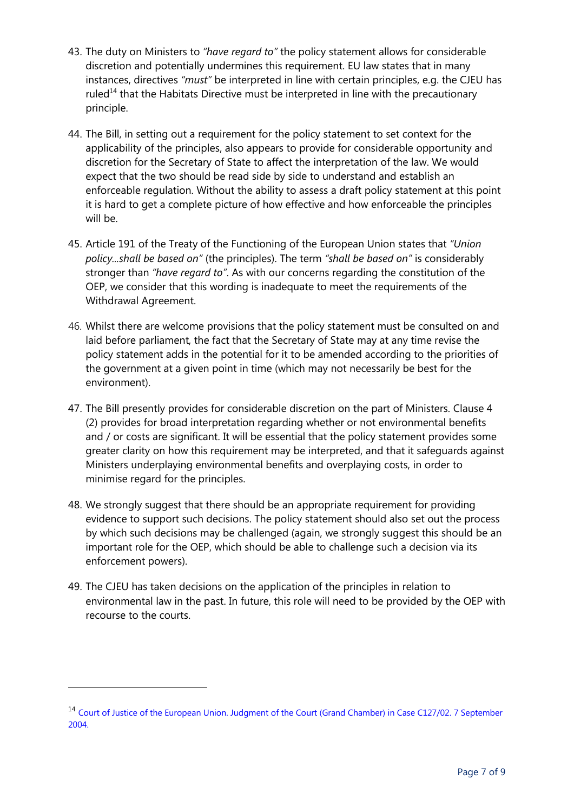- 43. The duty on Ministers to *"have regard to"* the policy statement allows for considerable discretion and potentially undermines this requirement. EU law states that in many instances, directives *"must"* be interpreted in line with certain principles, e.g. the CJEU has ruled $14$  that the Habitats Directive must be interpreted in line with the precautionary principle.
- 44. The Bill, in setting out a requirement for the policy statement to set context for the applicability of the principles, also appears to provide for considerable opportunity and discretion for the Secretary of State to affect the interpretation of the law. We would expect that the two should be read side by side to understand and establish an enforceable regulation. Without the ability to assess a draft policy statement at this point it is hard to get a complete picture of how effective and how enforceable the principles will be.
- 45. Article 191 of the Treaty of the Functioning of the European Union states that *"Union policy...shall be based on"* (the principles). The term *"shall be based on"* is considerably stronger than *"have regard to"*. As with our concerns regarding the constitution of the OEP, we consider that this wording is inadequate to meet the requirements of the Withdrawal Agreement.
- 46. Whilst there are welcome provisions that the policy statement must be consulted on and laid before parliament, the fact that the Secretary of State may at any time revise the policy statement adds in the potential for it to be amended according to the priorities of the government at a given point in time (which may not necessarily be best for the environment).
- 47. The Bill presently provides for considerable discretion on the part of Ministers. Clause 4 (2) provides for broad interpretation regarding whether or not environmental benefits and / or costs are significant. It will be essential that the policy statement provides some greater clarity on how this requirement may be interpreted, and that it safeguards against Ministers underplaying environmental benefits and overplaying costs, in order to minimise regard for the principles.
- 48. We strongly suggest that there should be an appropriate requirement for providing evidence to support such decisions. The policy statement should also set out the process by which such decisions may be challenged (again, we strongly suggest this should be an important role for the OEP, which should be able to challenge such a decision via its enforcement powers).
- 49. The CJEU has taken decisions on the application of the principles in relation to environmental law in the past. In future, this role will need to be provided by the OEP with recourse to the courts.

<sup>14</sup> [Court of Justice of the European Union. Judgment of the Court \(Grand Chamber\) in Case C127/02. 7 September](http://curia.europa.eu/juris/liste.jsf?language=en&num=C-127/02)  [2004.](http://curia.europa.eu/juris/liste.jsf?language=en&num=C-127/02)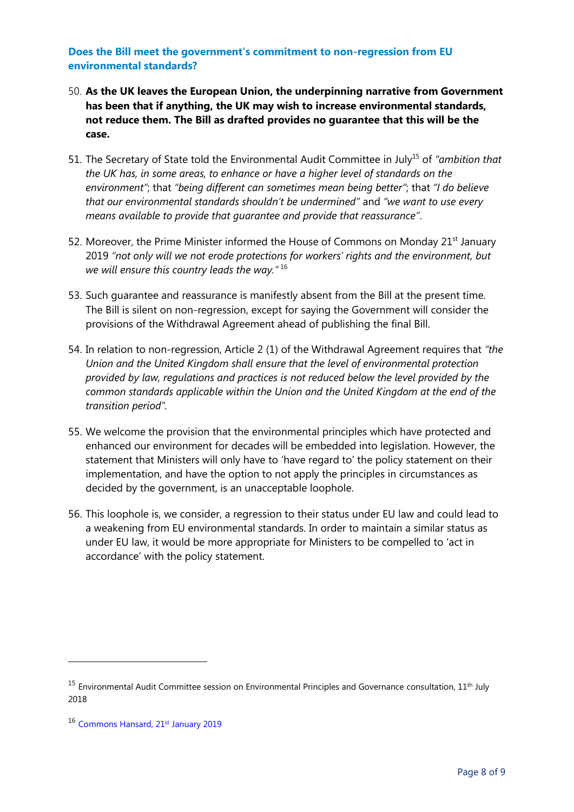#### **Does the Bill meet the government's commitment to non-regression from EU environmental standards?**

- 50. **As the UK leaves the European Union, the underpinning narrative from Government has been that if anything, the UK may wish to increase environmental standards, not reduce them. The Bill as drafted provides no guarantee that this will be the case.**
- 51. The Secretary of State told the Environmental Audit Committee in July<sup>15</sup> of *"ambition that the UK has, in some areas, to enhance or have a higher level of standards on the environment"*; that *"being different can sometimes mean being better"*; that *"I do believe that our environmental standards shouldn't be undermined"* and *"we want to use every means available to provide that guarantee and provide that reassurance"*.
- 52. Moreover, the Prime Minister informed the House of Commons on Monday  $21<sup>st</sup>$  January 2019 *"not only will we not erode protections for workers' rights and the environment, but we will ensure this country leads the way."* <sup>16</sup>
- 53. Such guarantee and reassurance is manifestly absent from the Bill at the present time. The Bill is silent on non-regression, except for saying the Government will consider the provisions of the Withdrawal Agreement ahead of publishing the final Bill.
- 54. In relation to non-regression, Article 2 (1) of the Withdrawal Agreement requires that *"the Union and the United Kingdom shall ensure that the level of environmental protection provided by law, regulations and practices is not reduced below the level provided by the common standards applicable within the Union and the United Kingdom at the end of the transition period".*
- 55. We welcome the provision that the environmental principles which have protected and enhanced our environment for decades will be embedded into legislation. However, the statement that Ministers will only have to 'have regard to' the policy statement on their implementation, and have the option to not apply the principles in circumstances as decided by the government, is an unacceptable loophole.
- 56. This loophole is, we consider, a regression to their status under EU law and could lead to a weakening from EU environmental standards. In order to maintain a similar status as under EU law, it would be more appropriate for Ministers to be compelled to 'act in accordance' with the policy statement.

 $15$  Environmental Audit Committee session on Environmental Principles and Governance consultation,  $11<sup>th</sup>$  July 2018

<sup>16</sup> [Commons Hansard, 21](https://hansard.parliament.uk/Commons/2019-01-21/debates/0FBF8F8F-E4B4-47A2-BD0A-958EFC89BD7E/LeavingTheEU?highlight=not%20erode%20protections%20workers%20rights#contribution-99B39557-ED82-420D-B124-FF83FC72F686)<sup>st</sup> January 2019